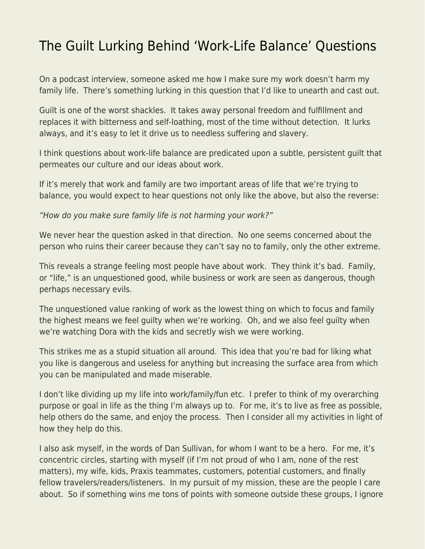## [The Guilt Lurking Behind 'Work-Life Balance' Questions](https://everything-voluntary.com/guilt-lurking-behind-work-life-balance-questions)

On a podcast interview, someone asked me how I make sure my work doesn't harm my family life. There's something lurking in this question that I'd like to unearth and cast out.

Guilt is one of the worst shackles. It takes away personal freedom and fulfillment and replaces it with bitterness and self-loathing, most of the time without detection. It lurks always, and it's easy to let it drive us to needless suffering and slavery.

I think questions about work-life balance are predicated upon a subtle, persistent guilt that permeates our culture and our ideas about work.

If it's merely that work and family are two important areas of life that we're trying to balance, you would expect to hear questions not only like the above, but also the reverse:

"How do you make sure family life is not harming your work?"

We never hear the question asked in that direction. No one seems concerned about the person who ruins their career because they can't say no to family, only the other extreme.

This reveals a strange feeling most people have about work. They think it's bad. Family, or "life," is an unquestioned good, while business or work are seen as dangerous, though perhaps necessary evils.

The unquestioned value ranking of work as the lowest thing on which to focus and family the highest means we feel guilty when we're working. Oh, and we also feel guilty when we're watching Dora with the kids and secretly wish we were working.

This strikes me as a stupid situation all around. This idea that you're bad for liking what you like is dangerous and useless for anything but increasing the surface area from which you can be manipulated and made miserable.

I don't like dividing up my life into work/family/fun etc. I prefer to think of my overarching purpose or goal in life as the thing I'm always up to. For me, it's to live as free as possible, help others do the same, and enjoy the process. Then I consider all my activities in light of how they help do this.

I also ask myself, in the words of Dan Sullivan, for whom I want to be a hero. For me, it's concentric circles, starting with myself (if I'm not proud of who I am, none of the rest matters), my wife, kids, Praxis teammates, customers, potential customers, and finally fellow travelers/readers/listeners. In my pursuit of my mission, these are the people I care about. So if something wins me tons of points with someone outside these groups, I ignore